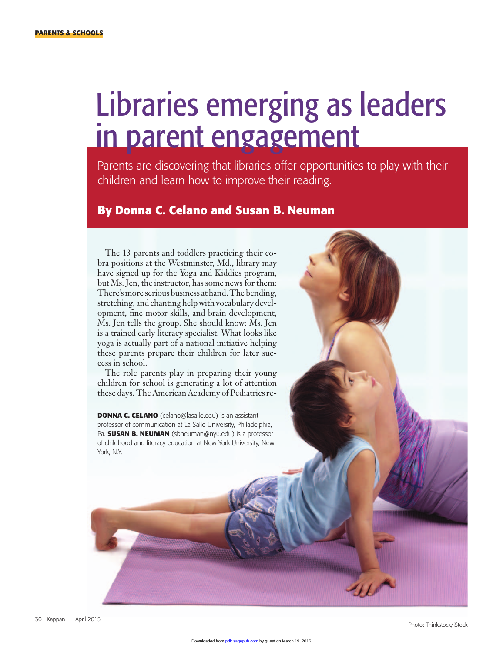# Libraries emerging as leaders in parent engagement

Parents are discovering that libraries offer opportunities to play with their children and learn how to improve their reading.

## **By Donna C. Celano and Susan B. Neuman**

The 13 parents and toddlers practicing their cobra positions at the Westminster, Md., library may have signed up for the Yoga and Kiddies program, but Ms. Jen, the instructor, has some news for them: There's more serious business at hand. The bending, stretching, and chanting help with vocabulary development, fine motor skills, and brain development, Ms. Jen tells the group. She should know: Ms. Jen is a trained early literacy specialist. What looks like yoga is actually part of a national initiative helping these parents prepare their children for later success in school.

The role parents play in preparing their young children for school is generating a lot of attention these days. The American Academy of Pediatrics re-

**DONNA C. CELANO** (celano@lasalle.edu) is an assistant professor of communication at La Salle University, Philadelphia, Pa. **SUSAN B. NEUMAN** (sbneuman@nyu.edu) is a professor of childhood and literacy education at New York University, New York, N.Y.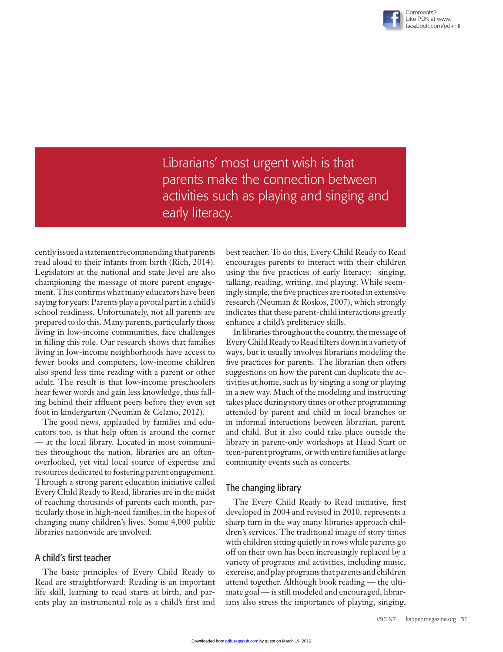

Librarians' most urgent wish is that parents make the connection between activities such as playing and singing and early literacy.

cently issued a statement recommending that parents read aloud to their infants from birth (Rich, 2014). Legislators at the national and state level are also championing the message of more parent engagement. This confirms what many educators have been saying for years: Parents play a pivotal part in a child's school readiness. Unfortunately, not all parents are prepared to do this. Many parents, particularly those living in low-income communities, face challenges in filling this role. Our research shows that families living in low-income neighborhoods have access to fewer books and computers; low-income children also spend less time reading with a parent or other adult. The result is that low-income preschoolers hear fewer words and gain less knowledge, thus falling behind their affluent peers before they even set foot in kindergarten (Neuman & Celano, 2012).

The good news, applauded by families and educators too, is that help often is around the corner — at the local library. Located in most communities throughout the nation, libraries are an oftenoverlooked, yet vital local source of expertise and resources dedicated to fostering parent engagement. Through a strong parent education initiative called Every Child Ready to Read, libraries are in the midst of reaching thousands of parents each month, particularly those in high-need families, in the hopes of changing many children's lives. Some 4,000 public libraries nationwide are involved.

#### A child's first teacher

The basic principles of Every Child Ready to Read are straightforward: Reading is an important life skill, learning to read starts at birth, and parents play an instrumental role as a child's first and

best teacher. To do this, Every Child Ready to Read encourages parents to interact with their children using the five practices of early literacy: singing, talking, reading, writing, and playing. While seemingly simple, the five practices are rooted in extensive research (Neuman & Roskos, 2007), which strongly indicates that these parent-child interactions greatly enhance a child's preliteracy skills.

In libraries throughout the country, the message of Every Child Ready to Read filters down in a variety of ways, but it usually involves librarians modeling the five practices for parents. The librarian then offers suggestions on how the parent can duplicate the activities at home, such as by singing a song or playing in a new way. Much of the modeling and instructing takes place during story times or other programming attended by parent and child in local branches or in informal interactions between librarian, parent, and child. But it also could take place outside the library in parent-only workshops at Head Start or teen-parent programs, or with entire families at large community events such as concerts.

#### The changing library

The Every Child Ready to Read initiative, first developed in 2004 and revised in 2010, represents a sharp turn in the way many libraries approach children's services. The traditional image of story times with children sitting quietly in rows while parents go off on their own has been increasingly replaced by a variety of programs and activities, including music, exercise, and play programs that parents and children attend together. Although book reading — the ultimate goal — is still modeled and encouraged, librarians also stress the importance of playing, singing,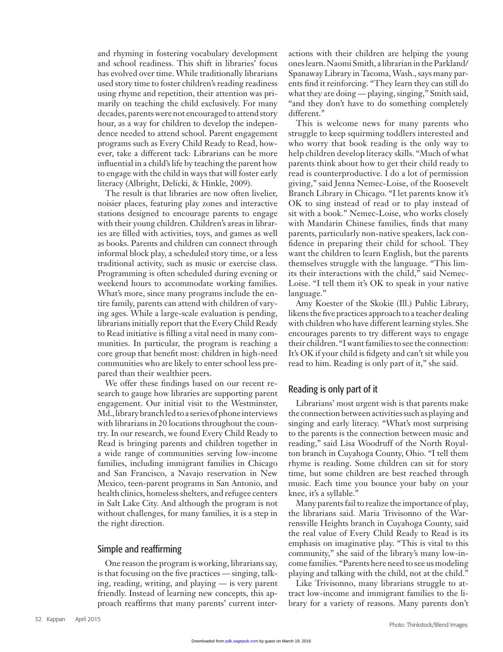and rhyming in fostering vocabulary development and school readiness. This shift in libraries' focus has evolved over time. While traditionally librarians used story time to foster children's reading readiness using rhyme and repetition, their attention was primarily on teaching the child exclusively. For many decades, parents were not encouraged to attend story hour, as a way for children to develop the independence needed to attend school. Parent engagement programs such as Every Child Ready to Read, however, take a different tack: Librarians can be more influential in a child's life by teaching the parent how to engage with the child in ways that will foster early literacy (Albright, Delicki, & Hinkle, 2009).

The result is that libraries are now often livelier, noisier places, featuring play zones and interactive stations designed to encourage parents to engage with their young children. Children's areas in libraries are filled with activities, toys, and games as well as books. Parents and children can connect through informal block play, a scheduled story time, or a less traditional activity, such as music or exercise class. Programming is often scheduled during evening or weekend hours to accommodate working families. What's more, since many programs include the entire family, parents can attend with children of varying ages. While a large-scale evaluation is pending, librarians initially report that the Every Child Ready to Read initiative is filling a vital need in many communities. In particular, the program is reaching a core group that benefit most: children in high-need communities who are likely to enter school less prepared than their wealthier peers.

We offer these findings based on our recent research to gauge how libraries are supporting parent engagement. Our initial visit to the Westminster, Md., library branch led to a series of phone interviews with librarians in 20 locations throughout the country. In our research, we found Every Child Ready to Read is bringing parents and children together in a wide range of communities serving low-income families, including immigrant families in Chicago and San Francisco, a Navajo reservation in New Mexico, teen-parent programs in San Antonio, and health clinics, homeless shelters, and refugee centers in Salt Lake City. And although the program is not without challenges, for many families, it is a step in the right direction.

#### Simple and reaffirming

One reason the program is working, librarians say, is that focusing on the five practices — singing, talking, reading, writing, and playing — is very parent friendly. Instead of learning new concepts, this approach reaffirms that many parents' current interactions with their children are helping the young ones learn. Naomi Smith, a librarian in the Parkland/ Spanaway Library in Tacoma, Wash., says many parents find it reinforcing. "They learn they can still do what they are doing — playing, singing," Smith said, "and they don't have to do something completely different."

This is welcome news for many parents who struggle to keep squirming toddlers interested and who worry that book reading is the only way to help children develop literacy skills. "Much of what parents think about how to get their child ready to read is counterproductive. I do a lot of permission giving," said Jenna Nemec-Loise, of the Roosevelt Branch Library in Chicago. "I let parents know it's OK to sing instead of read or to play instead of sit with a book." Nemec-Loise, who works closely with Mandarin Chinese families, finds that many parents, particularly non-native speakers, lack confidence in preparing their child for school. They want the children to learn English, but the parents themselves struggle with the language. "This limits their interactions with the child," said Nemec-Loise. "I tell them it's OK to speak in your native language."

Amy Koester of the Skokie (Ill.) Public Library, likens the five practices approach to a teacher dealing with children who have different learning styles. She encourages parents to try different ways to engage their children. "I want families to see the connection: It's OK if your child is fidgety and can't sit while you read to him. Reading is only part of it," she said.

#### Reading is only part of it

Librarians' most urgent wish is that parents make the connection between activities such as playing and singing and early literacy. "What's most surprising to the parents is the connection between music and reading," said Lisa Woodruff of the North Royalton branch in Cuyahoga County, Ohio. "I tell them rhyme is reading. Some children can sit for story time, but some children are best reached through music. Each time you bounce your baby on your knee, it's a syllable."

Many parents fail to realize the importance of play, the librarians said. Maria Trivisonno of the Warrensville Heights branch in Cuyahoga County, said the real value of Every Child Ready to Read is its emphasis on imaginative play. "This is vital to this community," she said of the library's many low-income families. "Parents here need to see us modeling playing and talking with the child, not at the child."

Like Trivisonno, many librarians struggle to attract low-income and immigrant families to the library for a variety of reasons. Many parents don't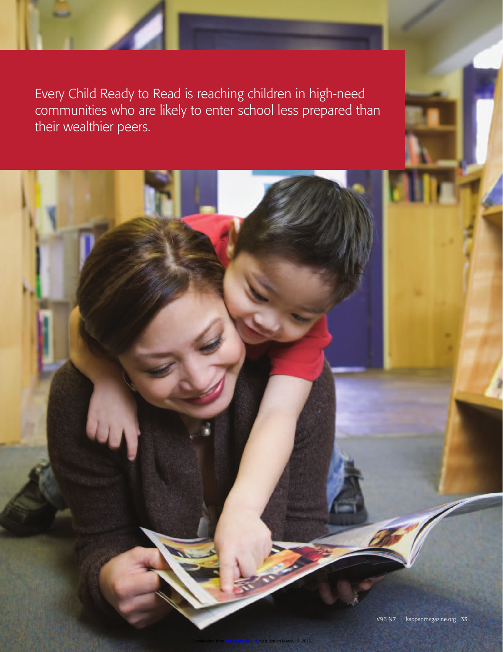Every Child Ready to Read is reaching children in high-need communities who are likely to enter school less prepared than their wealthier peers.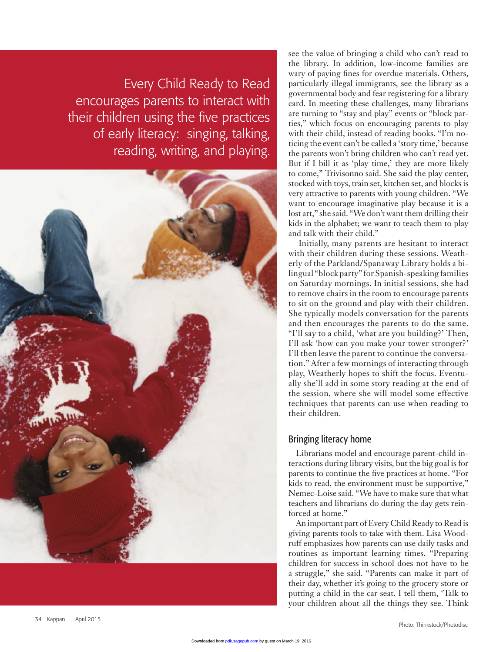Every Child Ready to Read encourages parents to interact with their children using the five practices of early literacy: singing, talking, reading, writing, and playing.



see the value of bringing a child who can't read to the library. In addition, low-income families are wary of paying fines for overdue materials. Others, particularly illegal immigrants, see the library as a governmental body and fear registering for a library card. In meeting these challenges, many librarians are turning to "stay and play" events or "block parties," which focus on encouraging parents to play with their child, instead of reading books. "I'm noticing the event can't be called a 'story time,' because the parents won't bring children who can't read yet. But if I bill it as 'play time,' they are more likely to come," Trivisonno said. She said the play center, stocked with toys, train set, kitchen set, and blocks is very attractive to parents with young children. "We want to encourage imaginative play because it is a lost art," she said. "We don't want them drilling their kids in the alphabet; we want to teach them to play and talk with their child."

 Initially, many parents are hesitant to interact with their children during these sessions. Weatherly of the Parkland/Spanaway Library holds a bilingual "block party" for Spanish-speaking families on Saturday mornings. In initial sessions, she had to remove chairs in the room to encourage parents to sit on the ground and play with their children. She typically models conversation for the parents and then encourages the parents to do the same. "I'll say to a child, 'what are you building?' Then, I'll ask 'how can you make your tower stronger?' I'll then leave the parent to continue the conversation." After a few mornings of interacting through play, Weatherly hopes to shift the focus. Eventually she'll add in some story reading at the end of the session, where she will model some effective techniques that parents can use when reading to their children.

### Bringing literacy home

Librarians model and encourage parent-child interactions during library visits, but the big goal is for parents to continue the five practices at home. "For kids to read, the environment must be supportive," Nemec-Loise said. "We have to make sure that what teachers and librarians do during the day gets reinforced at home."

An important part of Every Child Ready to Read is giving parents tools to take with them. Lisa Woodruff emphasizes how parents can use daily tasks and routines as important learning times. "Preparing children for success in school does not have to be a struggle," she said. "Parents can make it part of their day, whether it's going to the grocery store or putting a child in the car seat. I tell them, 'Talk to your children about all the things they see. Think